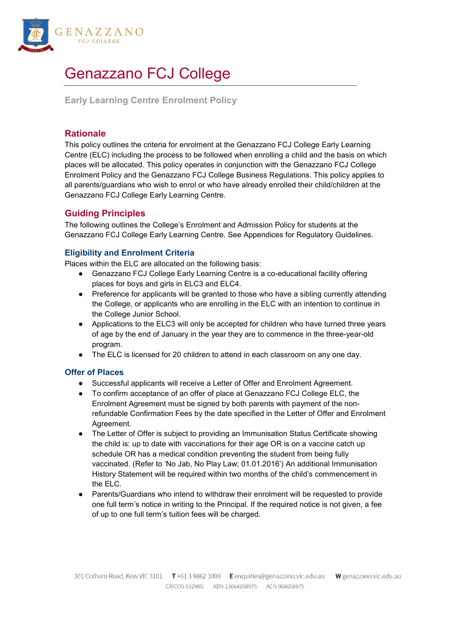

# Genazzano FCJ College

**Early Learning Centre Enrolment Policy**

# **Rationale**

This policy outlines the criteria for enrolment at the Genazzano FCJ College Early Learning Centre (ELC) including the process to be followed when enrolling a child and the basis on which places will be allocated. This policy operates in conjunction with the Genazzano FCJ College Enrolment Policy and the Genazzano FCJ College Business Regulations. This policy applies to all parents/guardians who wish to enrol or who have already enrolled their child/children at the Genazzano FCJ College Early Learning Centre.

# **Guiding Principles**

The following outlines the College's Enrolment and Admission Policy for students at the Genazzano FCJ College Early Learning Centre. See Appendices for Regulatory Guidelines.

## **Eligibility and Enrolment Criteria**

Places within the ELC are allocated on the following basis:

- Genazzano FCJ College Early Learning Centre is a co-educational facility offering places for boys and girls in ELC3 and ELC4.
- Preference for applicants will be granted to those who have a sibling currently attending the College, or applicants who are enrolling in the ELC with an intention to continue in the College Junior School.
- Applications to the ELC3 will only be accepted for children who have turned three years of age by the end of January in the year they are to commence in the three-year-old program.
- The ELC is licensed for 20 children to attend in each classroom on any one day.

#### **Offer of Places**

- Successful applicants will receive a Letter of Offer and Enrolment Agreement.
- To confirm acceptance of an offer of place at Genazzano FCJ College ELC, the Enrolment Agreement must be signed by both parents with payment of the nonrefundable Confirmation Fees by the date specified in the Letter of Offer and Enrolment Agreement.
- The Letter of Offer is subject to providing an Immunisation Status Certificate showing the child is: up to date with vaccinations for their age OR is on a vaccine catch up schedule OR has a medical condition preventing the student from being fully vaccinated. (Refer to 'No Jab, No Play Law; 01.01.2016') An additional Immunisation History Statement will be required within two months of the child's commencement in the ELC.
- Parents/Guardians who intend to withdraw their enrolment will be requested to provide one full term's notice in writing to the Principal. If the required notice is not given, a fee of up to one full term's tuition fees will be charged.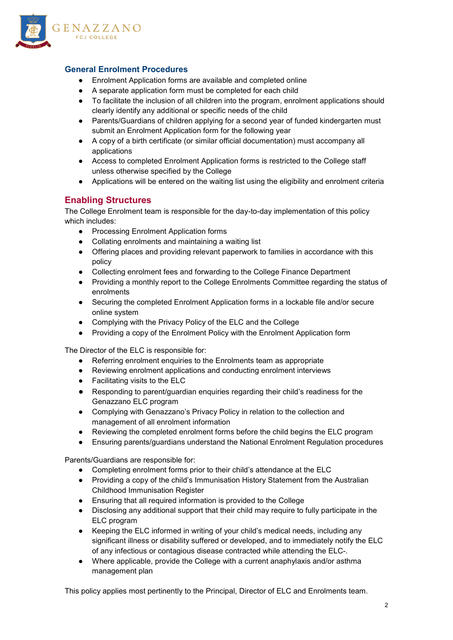

## **General Enrolment Procedures**

- Enrolment Application forms are available and completed online
- A separate application form must be completed for each child
- To facilitate the inclusion of all children into the program, enrolment applications should clearly identify any additional or specific needs of the child
- Parents/Guardians of children applying for a second year of funded kindergarten must submit an Enrolment Application form for the following year
- A copy of a birth certificate (or similar official documentation) must accompany all applications
- Access to completed Enrolment Application forms is restricted to the College staff unless otherwise specified by the College
- Applications will be entered on the waiting list using the eligibility and enrolment criteria

#### **Enabling Structures**

The College Enrolment team is responsible for the day-to-day implementation of this policy which includes:

- Processing Enrolment Application forms
- Collating enrolments and maintaining a waiting list
- Offering places and providing relevant paperwork to families in accordance with this policy
- Collecting enrolment fees and forwarding to the College Finance Department
- Providing a monthly report to the College Enrolments Committee regarding the status of enrolments
- Securing the completed Enrolment Application forms in a lockable file and/or secure online system
- Complying with the Privacy Policy of the ELC and the College
- Providing a copy of the Enrolment Policy with the Enrolment Application form

The Director of the ELC is responsible for:

- Referring enrolment enquiries to the Enrolments team as appropriate
- Reviewing enrolment applications and conducting enrolment interviews
- Facilitating visits to the ELC
- Responding to parent/guardian enquiries regarding their child's readiness for the Genazzano ELC program
- Complying with Genazzano's Privacy Policy in relation to the collection and management of all enrolment information
- Reviewing the completed enrolment forms before the child begins the ELC program
- Ensuring parents/guardians understand the National Enrolment Regulation procedures

Parents/Guardians are responsible for:

- Completing enrolment forms prior to their child's attendance at the ELC
- Providing a copy of the child's Immunisation History Statement from the Australian Childhood Immunisation Register
- Ensuring that all required information is provided to the College
- Disclosing any additional support that their child may require to fully participate in the ELC program
- Keeping the ELC informed in writing of your child's medical needs, including any significant illness or disability suffered or developed, and to immediately notify the ELC of any infectious or contagious disease contracted while attending the ELC-.
- Where applicable, provide the College with a current anaphylaxis and/or asthma management plan

This policy applies most pertinently to the Principal, Director of ELC and Enrolments team.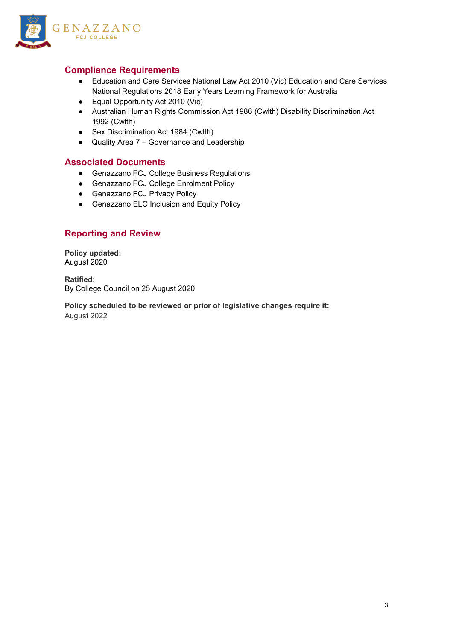

# **Compliance Requirements**

- Education and Care Services National Law Act 2010 (Vic) Education and Care Services National Regulations 2018 Early Years Learning Framework for Australia
- Equal Opportunity Act 2010 (Vic)
- Australian Human Rights Commission Act 1986 (Cwlth) Disability Discrimination Act 1992 (Cwlth)
- Sex Discrimination Act 1984 (Cwlth)
- Quality Area 7 Governance and Leadership

#### **Associated Documents**

- Genazzano FCJ College Business Regulations
- Genazzano FCJ College Enrolment Policy
- Genazzano FCJ Privacy Policy
- Genazzano ELC Inclusion and Equity Policy

## **Reporting and Review**

**Policy updated:** August 2020

**Ratified:** By College Council on 25 August 2020

**Policy scheduled to be reviewed or prior of legislative changes require it:** August 2022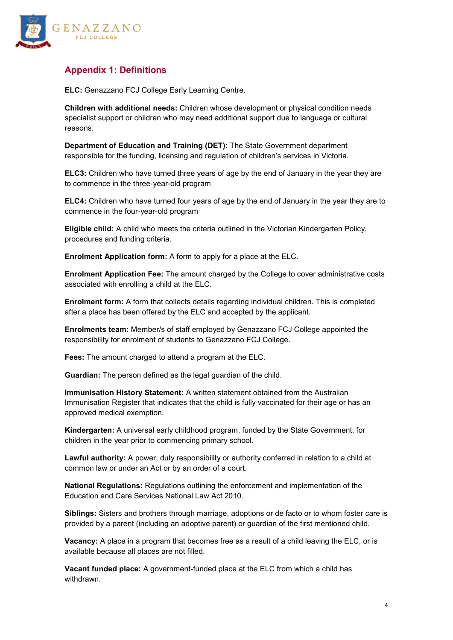

# **Appendix 1: Definitions**

**ELC:** Genazzano FCJ College Early Learning Centre.

**Children with additional needs:** Children whose development or physical condition needs specialist support or children who may need additional support due to language or cultural reasons.

**Department of Education and Training (DET):** The State Government department responsible for the funding, licensing and regulation of children's services in Victoria.

**ELC3:** Children who have turned three years of age by the end of January in the year they are to commence in the three-year-old program

**ELC4:** Children who have turned four years of age by the end of January in the year they are to commence in the four-year-old program

**Eligible child:** A child who meets the criteria outlined in the Victorian Kindergarten Policy, procedures and funding criteria.

**Enrolment Application form:** A form to apply for a place at the ELC.

**Enrolment Application Fee:** The amount charged by the College to cover administrative costs associated with enrolling a child at the ELC.

**Enrolment form:** A form that collects details regarding individual children. This is completed after a place has been offered by the ELC and accepted by the applicant.

**Enrolments team:** Member/s of staff employed by Genazzano FCJ College appointed the responsibility for enrolment of students to Genazzano FCJ College.

**Fees:** The amount charged to attend a program at the ELC.

**Guardian:** The person defined as the legal guardian of the child.

**Immunisation History Statement:** A written statement obtained from the Australian Immunisation Register that indicates that the child is fully vaccinated for their age or has an approved medical exemption.

**Kindergarten:** A universal early childhood program, funded by the State Government, for children in the year prior to commencing primary school.

**Lawful authority:** A power, duty responsibility or authority conferred in relation to a child at common law or under an Act or by an order of a court.

**National Regulations:** Regulations outlining the enforcement and implementation of the Education and Care Services National Law Act 2010.

**Siblings:** Sisters and brothers through marriage, adoptions or de facto or to whom foster care is provided by a parent (including an adoptive parent) or guardian of the first mentioned child.

**Vacancy:** A place in a program that becomes free as a result of a child leaving the ELC, or is available because all places are not filled.

**Vacant funded place:** A government-funded place at the ELC from which a child has withdrawn.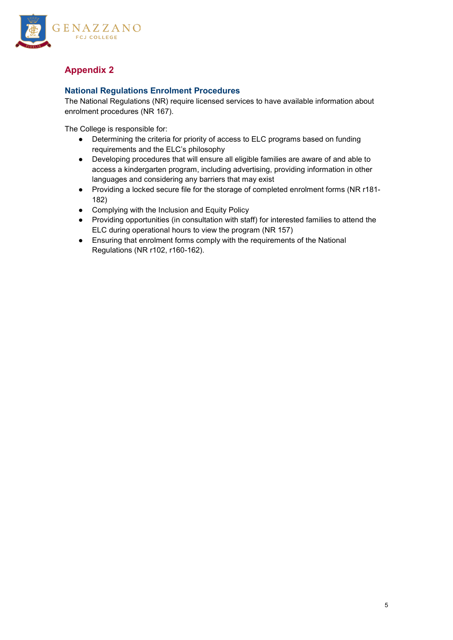

# **Appendix 2**

## **National Regulations Enrolment Procedures**

The National Regulations (NR) require licensed services to have available information about enrolment procedures (NR 167).

The College is responsible for:

- Determining the criteria for priority of access to ELC programs based on funding requirements and the ELC's philosophy
- Developing procedures that will ensure all eligible families are aware of and able to access a kindergarten program, including advertising, providing information in other languages and considering any barriers that may exist
- Providing a locked secure file for the storage of completed enrolment forms (NR r181- 182)
- Complying with the Inclusion and Equity Policy
- Providing opportunities (in consultation with staff) for interested families to attend the ELC during operational hours to view the program (NR 157)
- Ensuring that enrolment forms comply with the requirements of the National Regulations (NR r102, r160-162).